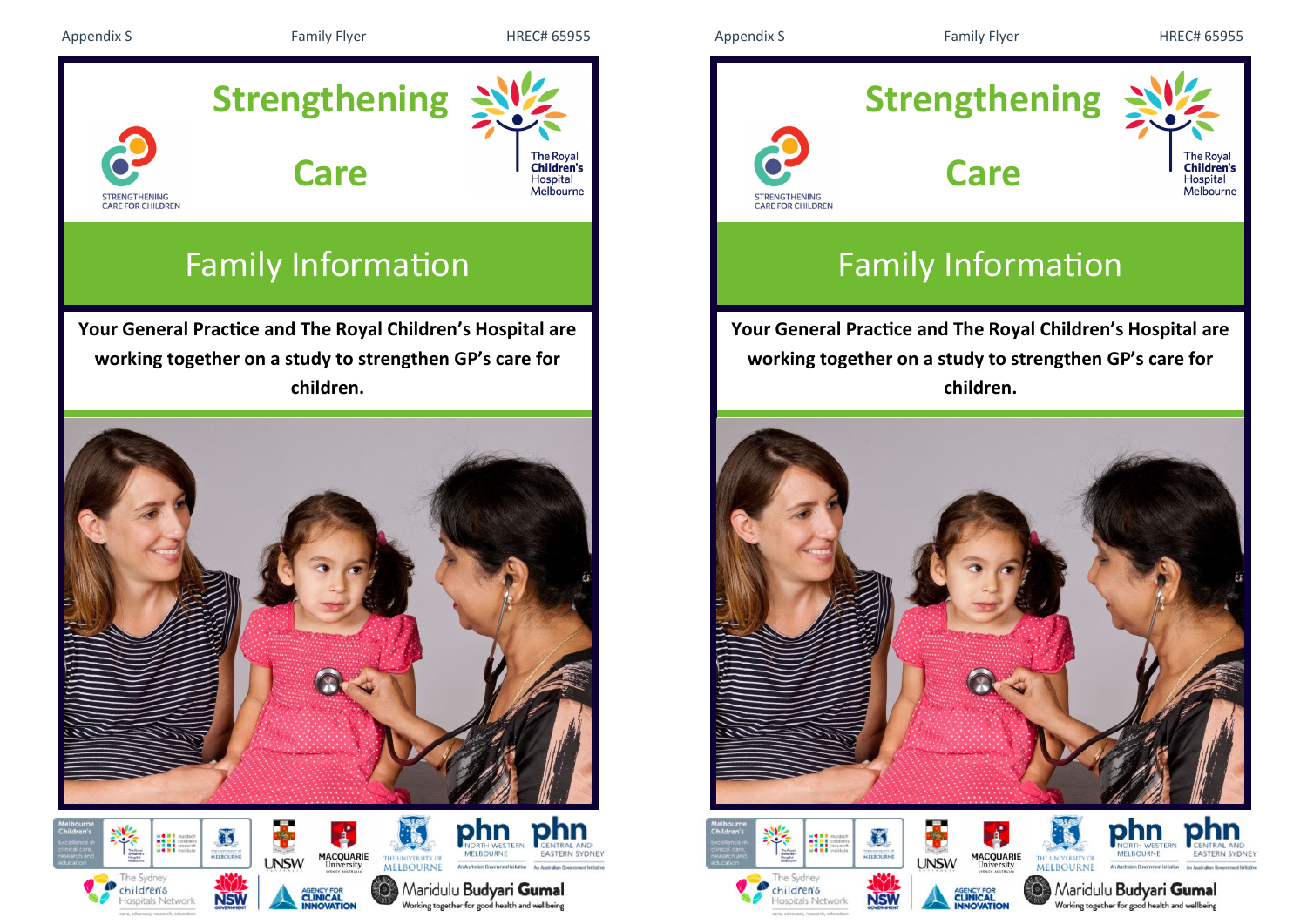

# Family Information

**Your General Practice and The Royal Children's Hospital are working together on a study to strengthen GP's care for children.**